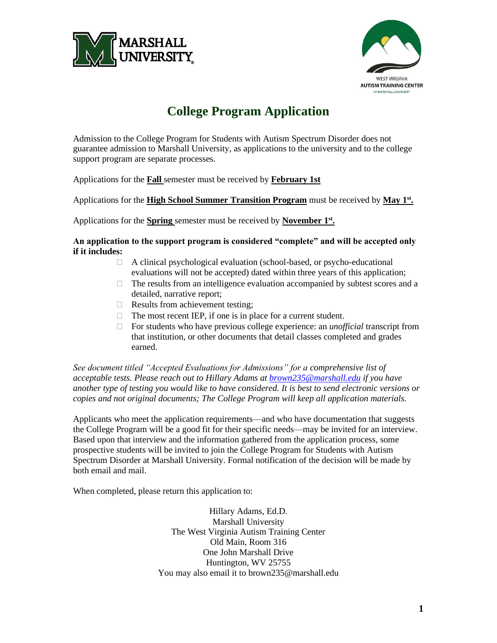



# **College Program Application**

Admission to the College Program for Students with Autism Spectrum Disorder does not guarantee admission to Marshall University, as applications to the university and to the college support program are separate processes.

Applications for the **Fall** semester must be received by **February 1st**

Applications for the **High School Summer Transition Program** must be received by **May 1st .**

Applications for the **Spring** semester must be received by **November 1**<sup>st</sup>.

**An application to the support program is considered "complete" and will be accepted only if it includes:**

- A clinical psychological evaluation (school-based, or psycho-educational evaluations will not be accepted) dated within three years of this application;
- $\Box$  The results from an intelligence evaluation accompanied by subtest scores and a detailed, narrative report;
- $\Box$  Results from achievement testing;
- $\Box$  The most recent IEP, if one is in place for a current student.
- For students who have previous college experience: an *unofficial* transcript from that institution, or other documents that detail classes completed and grades earned.

*See document titled "Accepted Evaluations for Admissions" for a comprehensive list of acceptable tests. Please reach out to Hillary Adams at [brown235@marshall.edu](mailto:brown235@marshall.edu) if you have another type of testing you would like to have considered. It is best to send electronic versions or copies and not original documents; The College Program will keep all application materials.*

Applicants who meet the application requirements—and who have documentation that suggests the College Program will be a good fit for their specific needs—may be invited for an interview. Based upon that interview and the information gathered from the application process, some prospective students will be invited to join the College Program for Students with Autism Spectrum Disorder at Marshall University. Formal notification of the decision will be made by both email and mail.

When completed, please return this application to:

Hillary Adams, Ed.D. Marshall University The West Virginia Autism Training Center Old Main, Room 316 One John Marshall Drive Huntington, WV 25755 You may also email it to brown235@marshall.edu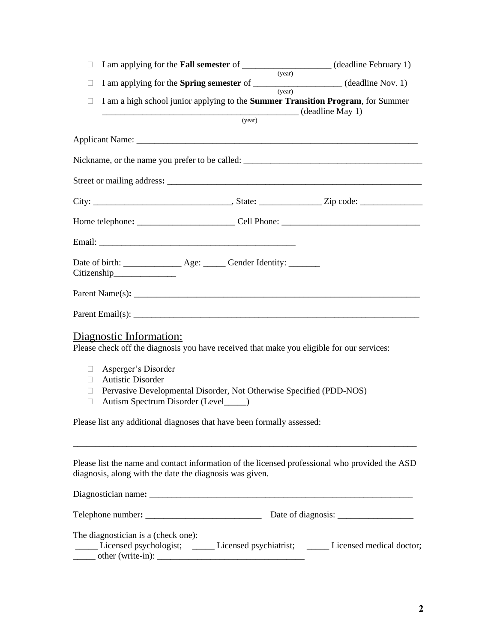| $\Box$                                     |                                                                                                                                  |                                                                                                             |        | I am applying for the <b>Fall semester</b> of ______________________(deadline February 1)                                                                                                                                                                                                                         |  |
|--------------------------------------------|----------------------------------------------------------------------------------------------------------------------------------|-------------------------------------------------------------------------------------------------------------|--------|-------------------------------------------------------------------------------------------------------------------------------------------------------------------------------------------------------------------------------------------------------------------------------------------------------------------|--|
| $\Box$                                     |                                                                                                                                  |                                                                                                             | (year) | I am applying for the <b>Spring semester</b> of ___________________(deadline Nov. 1)                                                                                                                                                                                                                              |  |
| П                                          | (vear)<br>I am a high school junior applying to the Summer Transition Program, for Summer<br>$\frac{1}{(year)}$ (deadline May 1) |                                                                                                             |        |                                                                                                                                                                                                                                                                                                                   |  |
|                                            |                                                                                                                                  |                                                                                                             |        |                                                                                                                                                                                                                                                                                                                   |  |
|                                            |                                                                                                                                  |                                                                                                             |        |                                                                                                                                                                                                                                                                                                                   |  |
|                                            |                                                                                                                                  |                                                                                                             |        |                                                                                                                                                                                                                                                                                                                   |  |
|                                            |                                                                                                                                  |                                                                                                             |        |                                                                                                                                                                                                                                                                                                                   |  |
|                                            |                                                                                                                                  |                                                                                                             |        |                                                                                                                                                                                                                                                                                                                   |  |
|                                            |                                                                                                                                  |                                                                                                             |        |                                                                                                                                                                                                                                                                                                                   |  |
|                                            |                                                                                                                                  |                                                                                                             |        |                                                                                                                                                                                                                                                                                                                   |  |
|                                            | Citizenship                                                                                                                      |                                                                                                             |        |                                                                                                                                                                                                                                                                                                                   |  |
|                                            |                                                                                                                                  |                                                                                                             |        | Parent Name(s): $\frac{1}{2}$ $\frac{1}{2}$ $\frac{1}{2}$ $\frac{1}{2}$ $\frac{1}{2}$ $\frac{1}{2}$ $\frac{1}{2}$ $\frac{1}{2}$ $\frac{1}{2}$ $\frac{1}{2}$ $\frac{1}{2}$ $\frac{1}{2}$ $\frac{1}{2}$ $\frac{1}{2}$ $\frac{1}{2}$ $\frac{1}{2}$ $\frac{1}{2}$ $\frac{1}{2}$ $\frac{1}{2}$ $\frac{1}{2}$ $\frac{1$ |  |
|                                            |                                                                                                                                  |                                                                                                             |        |                                                                                                                                                                                                                                                                                                                   |  |
|                                            | Diagnostic Information:                                                                                                          | Please check off the diagnosis you have received that make you eligible for our services:                   |        |                                                                                                                                                                                                                                                                                                                   |  |
| $\Box$<br>$\Box$<br>$\mathbb{R}$<br>$\Box$ | Asperger's Disorder<br><b>Autistic Disorder</b>                                                                                  | Pervasive Developmental Disorder, Not Otherwise Specified (PDD-NOS)<br>Autism Spectrum Disorder (Level____) |        |                                                                                                                                                                                                                                                                                                                   |  |
|                                            |                                                                                                                                  | Please list any additional diagnoses that have been formally assessed:                                      |        |                                                                                                                                                                                                                                                                                                                   |  |
|                                            |                                                                                                                                  | diagnosis, along with the date the diagnosis was given.                                                     |        | Please list the name and contact information of the licensed professional who provided the ASD                                                                                                                                                                                                                    |  |
|                                            |                                                                                                                                  |                                                                                                             |        |                                                                                                                                                                                                                                                                                                                   |  |
|                                            |                                                                                                                                  |                                                                                                             |        |                                                                                                                                                                                                                                                                                                                   |  |
|                                            | The diagnostician is a (check one):                                                                                              |                                                                                                             |        | Licensed psychologist; Licensed psychiatrist; Licensed medical doctor;                                                                                                                                                                                                                                            |  |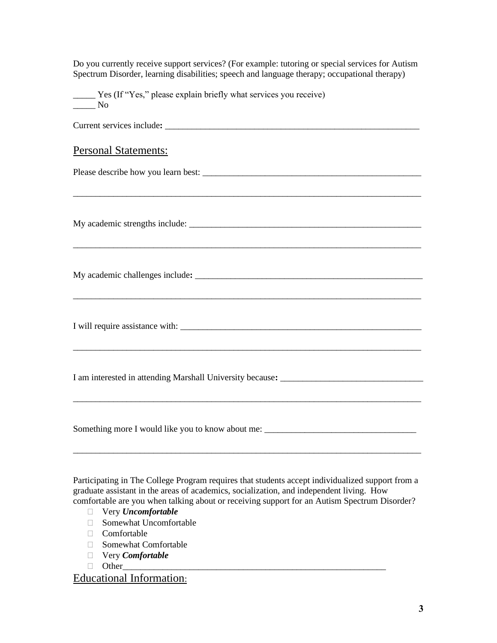Do you currently receive support services? (For example: tutoring or special services for Autism Spectrum Disorder, learning disabilities; speech and language therapy; occupational therapy)

Yes (If "Yes," please explain briefly what services you receive)  $\_\_$  No

Current services include**:** \_\_\_\_\_\_\_\_\_\_\_\_\_\_\_\_\_\_\_\_\_\_\_\_\_\_\_\_\_\_\_\_\_\_\_\_\_\_\_\_\_\_\_\_\_\_\_\_\_\_\_\_\_\_\_\_\_

\_\_\_\_\_\_\_\_\_\_\_\_\_\_\_\_\_\_\_\_\_\_\_\_\_\_\_\_\_\_\_\_\_\_\_\_\_\_\_\_\_\_\_\_\_\_\_\_\_\_\_\_\_\_\_\_\_\_\_\_\_\_\_\_\_\_\_\_\_\_\_\_\_\_\_\_\_\_

\_\_\_\_\_\_\_\_\_\_\_\_\_\_\_\_\_\_\_\_\_\_\_\_\_\_\_\_\_\_\_\_\_\_\_\_\_\_\_\_\_\_\_\_\_\_\_\_\_\_\_\_\_\_\_\_\_\_\_\_\_\_\_\_\_\_\_\_\_\_\_\_\_\_\_\_\_\_

\_\_\_\_\_\_\_\_\_\_\_\_\_\_\_\_\_\_\_\_\_\_\_\_\_\_\_\_\_\_\_\_\_\_\_\_\_\_\_\_\_\_\_\_\_\_\_\_\_\_\_\_\_\_\_\_\_\_\_\_\_\_\_\_\_\_\_\_\_\_\_\_\_\_\_\_\_\_

# Personal Statements:

Please describe how you learn best: \_\_\_\_\_\_\_\_\_\_\_\_\_\_\_\_\_\_\_\_\_\_\_\_\_\_\_\_\_\_\_\_\_\_\_\_\_\_\_\_\_\_\_\_\_\_\_\_\_

My academic strengths include: \_\_\_\_\_\_\_\_\_\_\_\_\_\_\_\_\_\_\_\_\_\_\_\_\_\_\_\_\_\_\_\_\_\_\_\_\_\_\_\_\_\_\_\_\_\_\_\_\_\_\_\_

My academic challenges include**:** \_\_\_\_\_\_\_\_\_\_\_\_\_\_\_\_\_\_\_\_\_\_\_\_\_\_\_\_\_\_\_\_\_\_\_\_\_\_\_\_\_\_\_\_\_\_\_\_\_\_\_

I will require assistance with:

\_\_\_\_\_\_\_\_\_\_\_\_\_\_\_\_\_\_\_\_\_\_\_\_\_\_\_\_\_\_\_\_\_\_\_\_\_\_\_\_\_\_\_\_\_\_\_\_\_\_\_\_\_\_\_\_\_\_\_\_\_\_\_\_\_\_\_\_\_\_\_\_\_\_\_\_\_\_

\_\_\_\_\_\_\_\_\_\_\_\_\_\_\_\_\_\_\_\_\_\_\_\_\_\_\_\_\_\_\_\_\_\_\_\_\_\_\_\_\_\_\_\_\_\_\_\_\_\_\_\_\_\_\_\_\_\_\_\_\_\_\_\_\_\_\_\_\_\_\_\_\_\_\_\_\_\_

I am interested in attending Marshall University because**:** \_\_\_\_\_\_\_\_\_\_\_\_\_\_\_\_\_\_\_\_\_\_\_\_\_\_\_\_\_\_\_\_

Something more I would like you to know about me:

Participating in The College Program requires that students accept individualized support from a graduate assistant in the areas of academics, socialization, and independent living. How comfortable are you when talking about or receiving support for an Autism Spectrum Disorder?

\_\_\_\_\_\_\_\_\_\_\_\_\_\_\_\_\_\_\_\_\_\_\_\_\_\_\_\_\_\_\_\_\_\_\_\_\_\_\_\_\_\_\_\_\_\_\_\_\_\_\_\_\_\_\_\_\_\_\_\_\_\_\_\_\_\_\_\_\_\_\_\_\_\_\_\_\_\_

- Very *Uncomfortable*
- Somewhat Uncomfortable
- □ Comfortable
- Somewhat Comfortable
- Very *Comfortable*
- Other\_\_\_\_\_\_\_\_\_\_\_\_\_\_\_\_\_\_\_\_\_\_\_\_\_\_\_\_\_\_\_\_\_\_\_\_\_\_\_\_\_\_\_\_\_\_\_\_\_\_\_\_\_\_\_\_\_\_\_

Educational Information: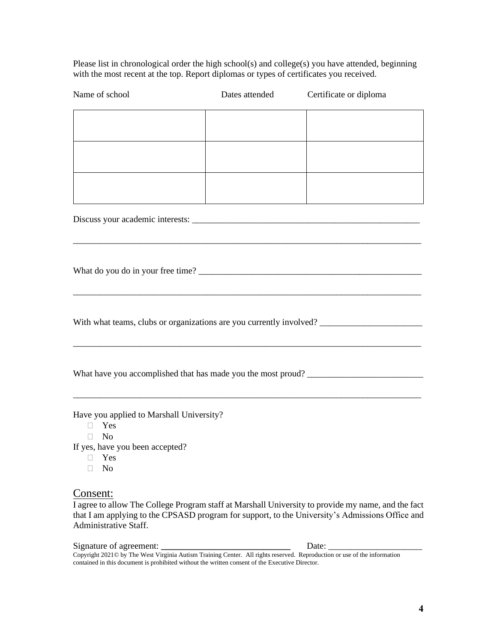Please list in chronological order the high school(s) and college(s) you have attended, beginning with the most recent at the top. Report diplomas or types of certificates you received.

| Name of school                                                                                                                                           | Dates attended | Certificate or diploma |
|----------------------------------------------------------------------------------------------------------------------------------------------------------|----------------|------------------------|
|                                                                                                                                                          |                |                        |
|                                                                                                                                                          |                |                        |
|                                                                                                                                                          |                |                        |
|                                                                                                                                                          |                |                        |
|                                                                                                                                                          |                |                        |
| With what teams, clubs or organizations are you currently involved?                                                                                      |                |                        |
|                                                                                                                                                          |                |                        |
| Have you applied to Marshall University?<br>Yes<br>$\Box$<br>N <sub>o</sub><br>П.<br>If yes, have you been accepted?<br>Yes<br>П.<br>N <sub>o</sub><br>П |                |                        |

## Consent:

I agree to allow The College Program staff at Marshall University to provide my name, and the fact that I am applying to the CPSASD program for support, to the University's Admissions Office and Administrative Staff.

Signature of agreement: **\_\_\_\_\_\_\_\_\_\_\_\_\_\_\_\_\_\_\_\_\_\_\_\_\_\_\_\_\_** Date: \_\_\_\_\_\_\_\_\_\_\_\_\_\_\_\_\_\_\_\_\_ Copyright 2021© by The West Virginia Autism Training Center. All rights reserved. Reproduction or use of the information contained in this document is prohibited without the written consent of the Executive Director.